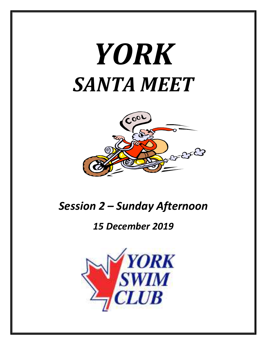# *YORK SANTA MEET*



# *Session 2 – Sunday Afternoon*

## *15 December 2019*

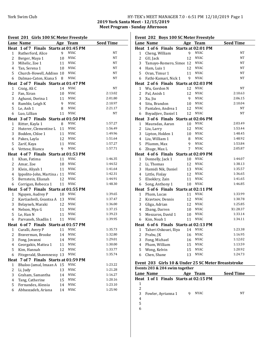### York Swim Club HY-TEK's MEET MANAGER 7.0 - 6:51 PM 12/10/2019 Page 1

**2019 York Santa Meet - 12/15/2019 Meet Program - Sunday Afternoon** 

| Event 201 Girls 100 SC Meter Freestyle |                                       |    |             |                  |  |  |  |
|----------------------------------------|---------------------------------------|----|-------------|------------------|--|--|--|
|                                        | <b>Lane Name</b>                      |    | Age Team    | <b>Seed Time</b> |  |  |  |
|                                        | Heat 1 of 7 Finals Starts at 01:45 PM |    |             |                  |  |  |  |
| 1                                      | Rutherford, Alice                     | 9  | <b>NYAC</b> | <b>NT</b>        |  |  |  |
| 2                                      | Berger, Maya 1                        | 10 | <b>NYAC</b> | NT               |  |  |  |
| 3                                      | Mihelic, Zoe 1                        | 11 | <b>NYAC</b> | NT               |  |  |  |
| 4                                      | Tan, Serena 1                         | 10 | <b>NYAC</b> | NT               |  |  |  |
| 5                                      | Church-Howell, Addiso: 10             |    | <b>NYAC</b> | NT               |  |  |  |
| 6                                      | Dalmao-Caton, Kiana S                 | 8  | <b>NYAC</b> | NT               |  |  |  |
|                                        | Heat 2 of 7 Finals Starts at 01:47 PM |    |             |                  |  |  |  |
| 1                                      | Craig, Ali C                          | 14 | <b>NYAC</b> | NT               |  |  |  |
| 2                                      | Fan, Xiran                            | 10 | <b>NYAC</b> | 2:13.02          |  |  |  |
| 3                                      | Aghassi, Dorina 1                     | 11 | <b>NYAC</b> | 2:01.80          |  |  |  |
| 4                                      | Rumble, Leigh K                       | 9  | <b>NYAC</b> | 2:10.97          |  |  |  |
| 5                                      | Le, Anh 1                             | 8  | <b>NYAC</b> | 2:21.17          |  |  |  |
| 6                                      | Luo, Lillian                          | 11 | <b>NYAC</b> | NT               |  |  |  |
|                                        | Heat 3 of 7 Finals Starts at 01:50 PM |    |             |                  |  |  |  |
| 1                                      | Ritter, Kayla 1                       | 8  | <b>NYAC</b> | 1:57.27          |  |  |  |
| 2                                      | Huterer, Clementine L                 | 11 | <b>NYAC</b> | 1:56.49          |  |  |  |
| 3                                      | Bodden, Chloe 1                       | 11 | <b>NYAC</b> | 1:49.96          |  |  |  |
| 4                                      | Pakes, Layla                          | 12 | <b>NYAC</b> | 1:51.64          |  |  |  |
| 5                                      | Zarif, Kaya                           | 11 | <b>NYAC</b> | 1:57.27          |  |  |  |
| 6                                      | Vettese, Bianca                       | 9  | <b>NYAC</b> | 1:57.71          |  |  |  |
|                                        | Heat 4 of 7 Finals Starts at 01:53 PM |    |             |                  |  |  |  |
| 1                                      | Khan, Fatima                          | 11 | NYAC        | 1:46.35          |  |  |  |
| 2                                      | Amar, Zoe                             | 10 | <b>NYAC</b> | 1:44.52          |  |  |  |
| 3                                      | Klein, Aliyah 1                       | 11 | <b>NYAC</b> | 1:41.64          |  |  |  |
| 4                                      | Ippolito-John, Martina, 11            |    | <b>NYAC</b> | 1:42.31          |  |  |  |
| 5                                      | Bernstein, Elianah                    | 12 | <b>NYAC</b> | 1:44.91          |  |  |  |
| 6                                      | Corrigan, Rebecca 1                   | 11 | <b>NYAC</b> | 1:48.30          |  |  |  |
|                                        | Heat 5 of 7 Finals Starts at 01:55 PM |    |             |                  |  |  |  |
| 1                                      | Nguyen, Audrey P                      | 10 | <b>NYAC</b> | 1:39.65          |  |  |  |
| 2                                      | Kavtiashvili, Gvantsa A               | 13 | <b>NYAC</b> | 1:37.47          |  |  |  |
| 3                                      | Belayneh, Maraki                      | 12 | <b>NYAC</b> | 1:36.00          |  |  |  |
| 4                                      | Nelson, Mya G                         | 11 | <b>NYAC</b> | 1:37.15          |  |  |  |
| 5                                      | Le, Han N                             | 11 | <b>NYAC</b> | 1:39.23          |  |  |  |
| 6                                      | Parvaneh, Shadlin 1                   | 11 | <b>NYAC</b> | 1:39.95          |  |  |  |
|                                        | Heat 6 of 7 Finals Starts at 01:57 PM |    |             |                  |  |  |  |
|                                        | 1 Curalli, Avery P 11 NYAC            |    |             | 1:35.73          |  |  |  |
| 2                                      | Braverman, Brooke                     | 14 | NYAC        | 1:32.80          |  |  |  |
| 3                                      | Fong, Jovanni                         | 14 | <b>NYAC</b> | 1:29.01          |  |  |  |
| 4                                      | Georgakis, Mattea 1                   | 11 | <b>NYAC</b> | 1:30.00          |  |  |  |
| 5                                      | Kim, Hannah                           | 12 | NYAC        | 1:33.77          |  |  |  |
| 6                                      | Fitzgerald, Shawnnessy                | 13 | <b>NYAC</b> | 1:35.74          |  |  |  |
|                                        | Heat 7 of 7 Finals Starts at 01:59 PM |    |             |                  |  |  |  |
| 1                                      | Bhaloo-Jamal, Imaan A                 | 15 | <b>NYAC</b> | 1:23.22          |  |  |  |
| $\overline{c}$                         | Li, Judy                              | 13 | <b>NYAC</b> | 1:21.28          |  |  |  |
| 3                                      | Graham, Samantha                      | 14 | NYAC        | 1:16.27          |  |  |  |
| 4                                      | Tang, Catherine                       | 15 | NYAC        | 1:20.16          |  |  |  |
| 5                                      | Fernandes, Alessia                    | 14 | <b>NYAC</b> | 1:23.10          |  |  |  |
| 6                                      | Abbaszadeh, Ariana                    | 14 | <b>NYAC</b> | 1:25.90          |  |  |  |
|                                        |                                       |    |             |                  |  |  |  |

#### Event 202 Boys 100 SC Meter Freestyle

|                | <b>Lane Name</b>                      |    | Age Team    | <b>Seed Time</b> |
|----------------|---------------------------------------|----|-------------|------------------|
|                | Heat 1 of 6 Finals Starts at 02:01 PM |    |             |                  |
| $\mathbf{1}$   | Cheng, William                        | 9  | <b>NYAC</b> | NT               |
| $\overline{c}$ | GU, Jack                              | 12 | <b>NYAC</b> | NT               |
| 3              | Tamayo-Romero, Simor 12               |    | <b>NYAC</b> | NT               |
| 4              | Ham, Luis 1                           | 12 | <b>NYAC</b> | NT               |
| 5              | Oran, Timur 1                         | 11 | <b>NYAC</b> | NT               |
| 6              | Fathi-Kamari, Nick 1                  | 9  | <b>NYAC</b> | NT               |
|                | Heat 2 of 6 Finals Starts at 02:03 PM |    |             |                  |
| 1              | Wu, Gordon N                          | 12 | <b>NYAC</b> | NT               |
| 2              | Pal, Anish 1                          | 12 | <b>NYAC</b> | 2:10.63          |
| 3              | Xu, Jiu                               | 9  | <b>NYAC</b> | 2:06.15          |
| 4              | Situ, Brandon                         | 10 | <b>NYAC</b> | 2:10.04          |
| 5              | Pantaleo, Andrea 1                    | 12 | <b>NYAC</b> | NT               |
| 6              | Boyadjiev, Daniel 1                   | 12 | <b>NYAC</b> | <b>NT</b>        |
|                | Heat 3 of 6 Finals Starts at 02:06 PM |    |             |                  |
| $\mathbf{1}$   | Mauradas, Aaran                       | 10 | <b>NYAC</b> | 2:03.49          |
| 2              | Liu, Larry                            | 12 | <b>NYAC</b> | 1:53.44          |
| 3              | Lipton, Holden 1                      | 10 | <b>NYAC</b> | 1:48.45          |
| 4              | Liu, William 1                        | 8  | <b>NYAC</b> | 1:48.92          |
| 5              | Pliamm, Max                           | 9  | <b>NYAC</b> | 1:53.84          |
| 6              | Zhuge, Max L                          | 7  | <b>NYAC</b> | 2:05.87          |
|                | Heat 4 of 6 Finals Starts at 02:09 PM |    |             |                  |
| 1              | Donnelly, Jack 1                      | 10 | <b>NYAC</b> | 1:44.07          |
| $\overline{c}$ | Li, Thomas                            | 12 | <b>NYAC</b> | 1:38.13          |
| 3              | Hamidi Nik, Daniel                    | 13 | <b>NYAC</b> | 1:35.57          |
| 4              | Little, Finlay                        | 12 | <b>NYAC</b> | 1:36.65          |
| 5              | Elsokkry, Zain                        | 11 | <b>NYAC</b> | 1:41.65          |
| 6              | Song, Anthony 1                       | 10 | <b>NYAC</b> | 1:46.85          |
|                | Heat 5 of 6 Finals Starts at 02:11 PM |    |             |                  |
| 1              | Pham, Lucas                           | 11 | <b>NYAC</b> | 1:33.99          |
| 2              | Kravtsov, Dennis                      | 12 | <b>NYAC</b> | 1:30.78          |
| 3              | Gliga, Adrian                         | 12 | <b>NYAC</b> | 1:25.85          |
| 4              | Zhang, Darren                         | 10 | <b>NYAC</b> | X1:28.37         |
| 5              | Meszaros, David 1                     | 10 | <b>NYAC</b> | 1:33.14          |
| 6              | Kim, Noah 1                           | 11 | <b>NYAC</b> | 1:34.11          |
|                | Heat 6 of 6 Finals Starts at 02:13 PM |    |             |                  |
| 1              | Taheri Oskouei, Iliya                 | 14 | <b>NYAC</b> | 1:23.38          |
| $\overline{c}$ | Prabu, JK                             | 16 | <b>NYAC</b> | 1:16.95          |
| 3              | Fong, Michael                         | 16 | <b>NYAC</b> | 1:12.02          |
| 4              | Pham, William                         | 15 | <b>NYAC</b> | 1:13.59          |
| 5              | Wong, Kelvin                          | 15 | <b>NYAC</b> | 1:20.92          |
| 6              | Chen, Shane                           | 13 | <b>NYAC</b> | 1:24.73          |
|                |                                       |    |             |                  |

#### Event 203 Girls 10 & Under 25 SC Meter Breaststroke **Events 203 & 204 swim together**

|   | LVENIS 200 & 201 SWIIII together      |     |   |             |                  |  |  |
|---|---------------------------------------|-----|---|-------------|------------------|--|--|
|   | Lane Name                             | Age |   | Team        | <b>Seed Time</b> |  |  |
|   | Heat 1 of 1 Finals Starts at 02:15 PM |     |   |             |                  |  |  |
|   |                                       |     |   |             |                  |  |  |
| 2 |                                       |     |   |             |                  |  |  |
| 3 | Fowler, Ayrianna 1                    |     | 9 | <b>NYAC</b> | NT               |  |  |
| 4 |                                       |     |   |             |                  |  |  |
| 5 |                                       |     |   |             |                  |  |  |
|   |                                       |     |   |             |                  |  |  |
|   |                                       |     |   |             |                  |  |  |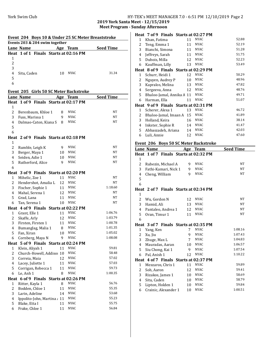#### York Swim Club HY-TEK's MEET MANAGER 7.0 - 6:51 PM 12/10/2019 Page 2

**2019 York Santa Meet - 12/15/2019 Meet Program - Sunday Afternoon** 

|  | Event 204 Boys 10 & Under 25 SC Meter Breaststroke |
|--|----------------------------------------------------|
|--|----------------------------------------------------|

| Events 203 & 204 swim together |             |  |     |                                       |                  |  |
|--------------------------------|-------------|--|-----|---------------------------------------|------------------|--|
|                                | Lane Name   |  | Age | Team                                  | <b>Seed Time</b> |  |
|                                |             |  |     | Heat 1 of 1 Finals Starts at 02:16 PM |                  |  |
| 1                              |             |  |     |                                       |                  |  |
| 2                              |             |  |     |                                       |                  |  |
| 3                              |             |  |     |                                       |                  |  |
| 4                              | Situ, Caden |  | 10  | NYAC.                                 | 31.34            |  |
| 5                              |             |  |     |                                       |                  |  |
|                                |             |  |     |                                       |                  |  |

#### **Event 205 Girls 50 SC Meter Backstroke**

|                | <b>Lane Name</b>                      | Age | <b>Team</b>        | <b>Seed Time</b> |
|----------------|---------------------------------------|-----|--------------------|------------------|
|                | Heat 1 of 9 Finals Starts at 02:17 PM |     |                    |                  |
| 1              |                                       |     |                    |                  |
| $\overline{c}$ | Berenbaum, Khloe 1                    | 8   | NYAC               | NT               |
| 3              | Fuss, Marissa 1                       | 9   | <b>NYAC</b>        | NT               |
| 4              | Dalmao-Caton, Kiana S                 | 8   | <b>NYAC</b>        | NT               |
| 5              |                                       |     |                    |                  |
| 6              |                                       |     |                    |                  |
|                | Heat 2 of 9 Finals Starts at 02:18 PM |     |                    |                  |
| 1              |                                       |     |                    |                  |
| 2              | Rumble, Leigh K                       | 9   | <b>NYAC</b>        | <b>NT</b>        |
| 3              | Berger, Maya 1                        | 10  | <b>NYAC</b>        | NT               |
| 4              | Seiden, Adie 1                        | 10  | <b>NYAC</b>        | NT               |
| 5              | Rutherford, Alice                     | 9   | <b>NYAC</b>        | <b>NT</b>        |
| 6              |                                       |     |                    |                  |
|                | Heat 3 of 9 Finals Starts at 02:20 PM |     |                    |                  |
| 1              | Mihelic, Zoe 1                        | 11  | <b>NYAC</b>        | NT               |
| 2              | Hendershot, Amalia L                  | 12  | <b>NYAC</b>        | NT               |
| 3              | Fischer, Sophie 1                     | 11  | <b>NYAC</b>        | 1:18.60          |
| 4              | Mahal, Serena 1                       | 12  | <b>NYAC</b>        | NT               |
| 5              | Grad, Lana                            | 11  | <b>NYAC</b>        | NT               |
| 6              | Tan, Serena 1                         | 10  | <b>NYAC</b>        | NT               |
|                | Heat 4 of 9 Finals Starts at 02:22 PM |     |                    |                  |
| $\mathbf{1}$   | Grant, Elle 1                         | 11  | <b>NYAC</b>        | 1:06.76          |
| $\overline{c}$ | Skaffe, Arly                          | 12  | <b>NYAC</b>        | 1:03.79          |
| 3              | Firsten, Firsten 1                    | 11  | <b>NYAC</b>        | 1:00.78          |
| 4              | Bumanglag, Malia 1                    | 8   | <b>NYAC</b>        | 1:01.35          |
| 5              | Fan, Xiran                            | 10  | <b>NYAC</b>        | 1:05.02          |
| 6              | Cornberg, Maya N                      | 9   | <b>NYAC</b>        | 1:08.08          |
|                | Heat 5 of 9 Finals Starts at 02:24 PM |     |                    |                  |
| 1              | Klein, Aliyah 1                       | 11  | <b>NYAC</b>        | 59.81            |
| 2              | Church-Howell, Addiso                 | 10  | <b>NYAC</b>        | 58.48            |
| 3              | Correia, Maia                         | 12  | <b>NYAC</b>        | 57.02            |
| 4              | Lacey, Juliette 1                     | 11  | <b>NYAC</b>        | 57.03            |
| 5              | Corrigan, Rebecca 1                   | 11  | <b>NYAC</b>        | 59.73            |
| 6              | Le, Anh 1                             | 8   | <b>NYAC</b>        | 1:00.35          |
|                | Heat 6 of 9 Finals                    |     | Starts at 02:26 PM |                  |
| 1              | Ritter, Kayla 1                       | 8   | <b>NYAC</b>        | 56.76            |
| $\overline{c}$ | Bodden, Chloe 1                       | 11  | <b>NYAC</b>        | 55.35            |
| 3              | Larin, Adeline                        | 14  | <b>NYAC</b>        | 53.68            |
| 4              | Ippolito-John, Martina, 11            |     | <b>NYAC</b>        | 55.23            |
| 5              | Blake, Etta I                         | 11  | <b>NYAC</b>        | 55.75            |
| 6              | Frake, Chloe 1                        | 11  | <b>NYAC</b>        | 56.84            |

|              | Heat 7 of 9 Finals Starts at 02:27 PM |    |             |       |
|--------------|---------------------------------------|----|-------------|-------|
| $\mathbf{1}$ | Khan, Fatima                          | 11 | <b>NYAC</b> | 52.88 |
| 2            | Teng, Emma 1                          | 11 | <b>NYAC</b> | 52.19 |
| 3            | Bianchi, Simona                       | 11 | NYAC        | 51.28 |
| 4            | Jeffreys, Sarah                       | 11 | <b>NYAC</b> | 51.75 |
| 5            | Dubois, Milla                         | 12 | <b>NYAC</b> | 52.23 |
| 6            | Kauffman, Lilly                       | 13 | <b>NYAC</b> | 53.49 |
|              | Heat 8 of 9 Finals Starts at 02:29 PM |    |             |       |
| $\mathbf{1}$ | Schurr, Heidi 1                       | 12 | NYAC.       | 50.29 |
| 2            | Nguyen, Audrey P                      | 10 | <b>NYAC</b> | 48.96 |
| 3            | Kapralos, Melina                      | 13 | <b>NYAC</b> | 47.82 |
| 4            | Sergeeva, Anna                        | 12 | NYAC.       | 48.76 |
| 5            | Bhaloo-Jamal, Annika A 11             |    | <b>NYAC</b> | 49.71 |
| 6            | Harman, Ella                          | 11 | NYAC        | 51.07 |
|              | Heat 9 of 9 Finals Starts at 02:31 PM |    |             |       |
| $\mathbf{1}$ | Scherer, Alexa 1                      | 13 | NYAC        | 46.72 |
| 2            | Bhaloo-Jamal, Imaan A 15              |    | <b>NYAC</b> | 41.89 |
| 3            | Holland, Keira                        | 16 | <b>NYAC</b> | 38.14 |
| 4            | Inkster, Sophie R                     | 14 | <b>NYAC</b> | 41.47 |
| 5            | Abbaszadeh, Ariana                    | 14 | <b>NYAC</b> | 42.03 |
| 6            | Luli, Annie                           | 12 | NYAC        | 47.60 |
|              |                                       |    |             |       |

#### Event 206 Boys 50 SC Meter Backstroke

|                | Lane Name                             |             | Age Team    | <b>Seed Time</b> |
|----------------|---------------------------------------|-------------|-------------|------------------|
|                | Heat 1 of 7 Finals Starts at 02:32 PM |             |             |                  |
| $\mathbf{1}$   |                                       |             |             |                  |
| 2              | Rubezin, Michael A                    | 9           | <b>NYAC</b> | NT               |
| 3              | Fathi-Kamari, Nick 1                  | 9           | <b>NYAC</b> | NT.              |
| 4              | Cheng, William                        | 9           | <b>NYAC</b> | NT               |
| 5              |                                       |             |             |                  |
| 6              |                                       |             |             |                  |
|                | Heat 2 of 7 Finals Starts at 02:34 PM |             |             |                  |
| $\mathbf{1}$   |                                       |             |             |                  |
| 2              | Wu, Gordon N                          | 12          | <b>NYAC</b> | NT               |
| 3              | Hamid, Ali                            | 13          | <b>NYAC</b> | NT.              |
| 4              | Pantaleo, Andrea 1                    | 12          | <b>NYAC</b> | NT.              |
| 5              | Oran, Timur 1                         | 11          | <b>NYAC</b> | NT               |
| 6              |                                       |             |             |                  |
|                | Heat 3 of 7 Finals Starts at 02:35 PM |             |             |                  |
| $\mathbf{1}$   | Yang, Ken                             | $7^{\circ}$ | <b>NYAC</b> | 1:08.16          |
| 2              | Xu, Jiu                               | 9           | <b>NYAC</b> | 1:07.43          |
| 3              | Zhuge, Max L                          | $7^{\circ}$ | <b>NYAC</b> | 1:04.83          |
| 4              | Mauradas, Aaran                       | 10          | <b>NYAC</b> | 1:06.57          |
| 5              | Siu Chong, Kai 1                      | 9           | <b>NYAC</b> | 1:07.54          |
| 6              | Pal, Anish 1                          | 12          | <b>NYAC</b> | 1:10.22          |
|                | Heat 4 of 7 Finals Starts at 02:37 PM |             |             |                  |
| $\mathbf{1}$   | Meszaros, Chris 1                     | 11          | <b>NYAC</b> | 59.89            |
| $\overline{2}$ | Soh, Aaron                            | 12          | <b>NYAC</b> | 59.41            |
| 3              | Rizakos, James 1                      | 10          | <b>NYAC</b> | 58.69            |
| 4              | Situ, Caden                           | 10          | <b>NYAC</b> | 58.79            |
| 5              | Lipton, Holden 1                      | 10          | <b>NYAC</b> | 59.84            |
| 6              | Crainic, Alexander 1                  | 10          | <b>NYAC</b> | 1:00.51          |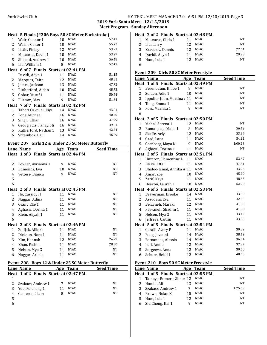#### York Swim Club HY-TEK's MEET MANAGER 7.0 - 6:51 PM 12/10/2019 Page 3 **2019 York Santa Meet - 12/15/2019 Meet Program - Sunday Afternoon**

|   | Heat 5 Finals (#206 Boys 50 SC Meter Backstroke) |    |             |       |
|---|--------------------------------------------------|----|-------------|-------|
| 1 | Weir, Connor 1                                   | 10 | <b>NYAC</b> | 57.41 |
| 2 | Walsh, Conor 1                                   | 10 | NYAC.       | 55.72 |
| 3 | Little, Finlay                                   | 12 | <b>NYAC</b> | 53.21 |
| 4 | Meszaros, David 1                                | 10 | <b>NYAC</b> | 53.27 |
| 5 | Sibbald, Andrew 1                                | 10 | <b>NYAC</b> | 56.48 |
| 6 | Liu, William 1                                   | 8  | <b>NYAC</b> | 57.43 |
|   | Heat 6 of 7 Finals Starts at 02:41 PM            |    |             |       |
| 1 | Davidi, Adyn 1                                   | 11 | NYAC        | 51.15 |
| 2 | Marques, Taite                                   | 12 | NYAC.       | 48.81 |
| 3 | James, Jackson                                   | 13 | <b>NYAC</b> | 47.72 |
| 4 | Rutherford, Aidan                                | 10 | NYAC        | 48.73 |
| 5 | Gohar, Yusuf 1                                   | 11 | <b>NYAC</b> | 50.84 |
| 6 | Pliamm, Max                                      | 9  | <b>NYAC</b> | 51.64 |
|   | Heat 7 of 7 Finals Starts at 02:42 PM            |    |             |       |
| 1 | Taheri Oskouei, Iliya                            | 14 | <b>NYAC</b> | 43.01 |
| 2 | Fong, Michael                                    | 16 | NYAC.       | 40.70 |
| 3 | Singh, Ethan                                     | 16 | <b>NYAC</b> | 37.99 |
| 4 | Georgiadis, Panayioti                            | 16 | NYAC.       | 39.51 |
| 5 | Rutherford, Nathan 1                             | 13 | <b>NYAC</b> | 42.24 |
| 6 | Shteinbok, Paul                                  | 14 | <b>NYAC</b> | 46.09 |
|   |                                                  |    |             |       |

### Event 207 Girls 12 & Under 25 SC Meter Butterfly

|              | Lane Name                             |    | Age Team    | <b>Seed Time</b> |
|--------------|---------------------------------------|----|-------------|------------------|
|              | Heat 1 of 3 Finals Starts at 02:44 PM |    |             |                  |
| 1            |                                       |    |             |                  |
| 2            | Fowler, Ayrianna 1                    | 9  | <b>NYAC</b> | <b>NT</b>        |
| 3            | Edmonds, Eva                          | 10 | <b>NYAC</b> | <b>NT</b>        |
| 4            | Vettese, Bianca                       | 9  | <b>NYAC</b> | NT               |
| 5            |                                       |    |             |                  |
| 6            |                                       |    |             |                  |
|              | Heat 2 of 3 Finals Starts at 02:45 PM |    |             |                  |
| 1            | Ho, Cassidy H                         | 11 | <b>NYAC</b> | <b>NT</b>        |
| 2            | Naggar, Adina                         | 11 | <b>NYAC</b> | <b>NT</b>        |
| 3            | Grant, Elle 1                         | 11 | <b>NYAC</b> | NT               |
| 4            | Aghassi, Dorina 1                     | 11 | <b>NYAC</b> | <b>NT</b>        |
| 5            | Klein, Aliyah 1                       | 11 | <b>NYAC</b> | <b>NT</b>        |
| 6            |                                       |    |             |                  |
|              | Heat 3 of 3 Finals Starts at 02:46 PM |    |             |                  |
| 1            | Zmijak, Allie G                       | 11 | <b>NYAC</b> | <b>NT</b>        |
| 2            | Dickson, Nora 1                       | 11 | <b>NYAC</b> | <b>NT</b>        |
| 3            | Kim, Hannah                           | 12 | <b>NYAC</b> | 24.29            |
| 4            | Khan, Fatima                          | 11 | <b>NYAC</b> | 28.50            |
| 5            | Nelson, Mya G                         | 11 | NYAC        | NT               |
| 6            | Naggar, Ariella                       | 11 | <b>NYAC</b> | <b>NT</b>        |
| $\mathbf{r}$ | $\blacksquare$                        |    | Ð           |                  |

#### **Event 208 Boys 12 & Under 25 SC Meter Butterfly Lane Name Age Team Seed Time**

|   | Lane Name                             | лбе | теаш  | зееа типе |
|---|---------------------------------------|-----|-------|-----------|
|   | Heat 1 of 2 Finals Starts at 02:47 PM |     |       |           |
|   |                                       |     |       |           |
|   | Szakacs, Andrew 1                     |     | NYAC  | NΤ        |
| 3 | Yue, Peicheng 1                       | 11  | NYAC. | NT        |
| 4 | Cameron, Liam                         |     | NYAC. | NT        |
| 5 |                                       |     |       |           |
| 6 |                                       |     |       |           |

| Heat 2 of 2 Finals Starts at 02:48 PM |    |             |       |
|---------------------------------------|----|-------------|-------|
| 1 Meszaros, Chris 1                   | 11 | NYAC        | NT    |
| 2 Liu, Larry                          |    | NYAC        | NT    |
| 3 Kravtsov, Dennis                    |    | NYAC        | 22.61 |
| 4 Davidi, Adyn 1                      | 11 | <b>NYAC</b> | 29.98 |
| 5 Ham, Luis 1                         |    | NYAC.       | NT    |

#### Event 209 Girls 50 SC Meter Freestyle

|                | Lane Name                             |    | Age Team    | <b>Seed Time</b> |
|----------------|---------------------------------------|----|-------------|------------------|
|                | Heat 1 of 5 Finals Starts at 02:49 PM |    |             |                  |
| $\mathbf{1}$   | Berenbaum, Khloe 1                    | 8  | <b>NYAC</b> | NT               |
| 2              | Seiden, Adie 1                        | 10 | <b>NYAC</b> | NT               |
| 3              | Ippolito-John, Martina, 11            |    | <b>NYAC</b> | NT               |
| $\overline{4}$ | Teng, Emma 1                          | 11 | <b>NYAC</b> | NT               |
| 5              | Fuss, Marissa 1                       | 9  | <b>NYAC</b> | NT               |
| 6              |                                       |    |             |                  |
|                | Heat 2 of 5 Finals Starts at 02:50 PM |    |             |                  |
| $\mathbf{1}$   | Mahal, Serena 1                       | 12 | NYAC        | NT               |
| 2              | Bumanglag, Malia 1                    | 8  | <b>NYAC</b> | 56.42            |
| 3              | Skaffe, Arly                          | 12 | <b>NYAC</b> | 53.34            |
| $\overline{4}$ | Grad, Lana                            | 11 | <b>NYAC</b> | 54.21            |
| 5              | Cornberg, Maya N                      | 9  | <b>NYAC</b> | 1:00.23          |
| 6              | Aghassi, Dorina 1                     | 11 | NYAC        | NT               |
|                | Heat 3 of 5 Finals Starts at 02:51 PM |    |             |                  |
| $\mathbf{1}$   | Huterer, Clementine L                 | 11 | <b>NYAC</b> | 52.67            |
| 2              | Blake, Etta I                         | 11 | <b>NYAC</b> | 47.81            |
| 3              | Bhaloo-Jamal, Annika A 11             |    | <b>NYAC</b> | 43.93            |
| 4              | Amar, Zoe                             | 10 | <b>NYAC</b> | 45.29            |
| 5              | Zarif, Kaya                           | 11 | <b>NYAC</b> | 48.65            |
| 6              | Deacon, Lauren 1                      | 10 | NYAC        | 52.90            |
|                | Heat 4 of 5 Finals Starts at 02:53 PM |    |             |                  |
| $\mathbf{1}$   | Braverman, Brooke                     | 14 | <b>NYAC</b> | 43.69            |
| 2              | Assudani, Eva                         | 11 | <b>NYAC</b> | 42.63            |
| 3              | Belayneh, Maraki                      | 12 | <b>NYAC</b> | 41.33            |
| $\overline{4}$ | Parvaneh, Shadlin 1                   | 11 | <b>NYAC</b> | 41.38            |
| 5              | Nelson, Mya G                         | 11 | <b>NYAC</b> | 43.43            |
| 6              | Jeffreys, Caitlin                     | 11 | <b>NYAC</b> | 43.85            |
| Heat           | 5 of 5 Finals Starts at 02:54 PM      |    |             |                  |
| $\mathbf{1}$   | Curalli, Avery P                      | 11 | <b>NYAC</b> | 39.89            |
| 2              | Fong, Jovanni                         | 14 | <b>NYAC</b> | 38.49            |
| 3              | Fernandes, Alessia                    | 14 | <b>NYAC</b> | 36.54            |
| $\overline{4}$ | Luli, Annie                           | 12 | <b>NYAC</b> | 37.37            |
| 5              | Sergeeva, Anna                        | 12 | <b>NYAC</b> | 39.50            |
| 6              | Schurr, Heidi 1                       | 12 | <b>NYAC</b> | 40.63            |
|                |                                       |    |             |                  |

#### Event 210 Boys 50 SC Meter Freestyle

|   | Lane Name                             | Age | Team        | <b>Seed Time</b> |
|---|---------------------------------------|-----|-------------|------------------|
|   | Heat 1 of 5 Finals Starts at 02:55 PM |     |             |                  |
|   | Tamayo-Romero, Simor 12 NYAC          |     |             | NT               |
|   | Hamid, Ali                            | 13  | NYAC.       | NT               |
|   | Szakacs, Andrew 1                     |     | <b>NYAC</b> | 1:25.59          |
|   | Brown, Nolan K                        | 15  | NYAC        | NT               |
| 5 | Ham, Luis 1                           | 12  | NYAC.       | NT               |
|   | Siu Chong, Kai 1                      |     | <b>NYAC</b> | NT               |
|   |                                       |     |             |                  |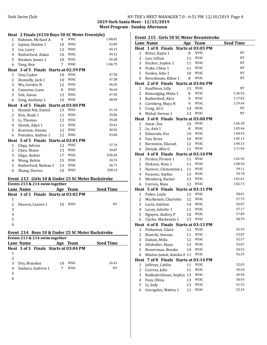**2019 York Santa Meet - 12/15/2019 Meet Program - Sunday Afternoon** 

| 1                                                 |                                                  |                |                                |                  |  |  |  |
|---------------------------------------------------|--------------------------------------------------|----------------|--------------------------------|------------------|--|--|--|
|                                                   | Heat 2 Finals (#210 Boys 50 SC Meter Freestyle)  |                |                                |                  |  |  |  |
|                                                   | Rubezin, Michael A                               | 9              | <b>NYAC</b>                    | 1:00.81          |  |  |  |
| 2                                                 | Lipton, Holden 1                                 | 10             | NYAC                           | 52.89            |  |  |  |
| 3                                                 | Liu, Larry                                       | 12             | NYAC                           | 49.15            |  |  |  |
| 4                                                 | Rutherford, Aidan                                | 10             | <b>NYAC</b>                    | 49.33            |  |  |  |
| 5                                                 | Rizakos, James 1                                 | 10             | NYAC                           | 56.28            |  |  |  |
| 6                                                 | Yang, Ken                                        | $\overline{7}$ | NYAC                           | 1:06.79          |  |  |  |
|                                                   | Heat 3 of 5 Finals Starts at 02:59 PM            |                |                                |                  |  |  |  |
| $\mathbf{1}$                                      | Situ, Caden                                      | 10             | NYAC                           | 47.58            |  |  |  |
| 2                                                 | Donnelly, Jack 1                                 | 10             | NYAC                           | 47.38            |  |  |  |
| 3                                                 | Wu, Gordon N                                     | 12             | NYAC                           | 46.50            |  |  |  |
| 4                                                 | Cameron, Liam                                    | 8              | <b>NYAC</b>                    | 46.64            |  |  |  |
| 5                                                 | Soh, Aaron                                       | 12             | NYAC                           | 47.50            |  |  |  |
| 6                                                 | Song, Anthony 1                                  | 10             | NYAC                           | 48.99            |  |  |  |
|                                                   | Heat 4 of 5 Finals Starts at 03:00 PM            |                |                                |                  |  |  |  |
| 1                                                 | Hamidi Nik, Daniel                               | 13             | <b>NYAC</b>                    | 41.16            |  |  |  |
| 2                                                 | Kim, Noah 1                                      | 11             | NYAC                           | 39.86            |  |  |  |
| 3                                                 | Li, Thomas                                       | 12             | <b>NYAC</b>                    | 39.28            |  |  |  |
| 4                                                 | Davidi, Adyn 1                                   | 11             | <b>NYAC</b>                    | 39.41            |  |  |  |
| 5                                                 | Kravtsov, Dennis                                 | 12             | <b>NYAC</b>                    | 40.56            |  |  |  |
| 6                                                 | Pantaleo, Andrea 1                               | 12             | NYAC                           | 43.00            |  |  |  |
|                                                   | Heat 5 of 5 Finals Starts at 03:01 PM            |                |                                |                  |  |  |  |
| $\mathbf{1}$                                      | Gliga, Adrian                                    | 12             | <b>NYAC</b>                    | 37.74            |  |  |  |
| 2                                                 | Chen, Shane                                      | 13             | <b>NYAC</b>                    | 34.87            |  |  |  |
| 3                                                 | Gliga, Andrei                                    | 17             | <b>NYAC</b>                    | X30.04           |  |  |  |
| 4                                                 | Wong, Kelvin                                     | 15             | <b>NYAC</b>                    | 34.76            |  |  |  |
| 5                                                 | Rutherford, Nathan 1                             | 13             | NYAC                           | 36.71            |  |  |  |
| 6                                                 | Zhang, Darren                                    | 10             | NYAC                           | X38.23           |  |  |  |
|                                                   |                                                  |                |                                |                  |  |  |  |
| Event 213 Girls 10 & Under 25 SC Meter Backstroke |                                                  |                |                                |                  |  |  |  |
|                                                   |                                                  |                | Events 213 & 214 swim together |                  |  |  |  |
|                                                   |                                                  |                |                                |                  |  |  |  |
|                                                   | Lane Name                                        |                | Age Team                       | <b>Seed Time</b> |  |  |  |
|                                                   | Heat 1 of 1 Finals Starts at 03:02 PM            |                |                                |                  |  |  |  |
| $\mathbf{1}$                                      |                                                  |                |                                |                  |  |  |  |
| 2                                                 | Deacon, Lauren 1                                 | 10             | <b>NYAC</b>                    | NT               |  |  |  |
| 3                                                 |                                                  |                |                                |                  |  |  |  |
| $\overline{4}$                                    |                                                  |                |                                |                  |  |  |  |
| 5                                                 |                                                  |                |                                |                  |  |  |  |
| 6                                                 |                                                  |                |                                |                  |  |  |  |
|                                                   | Event 214 Boys 10 & Under 25 SC Meter Backstroke |                |                                |                  |  |  |  |
|                                                   | Events 213 & 214 swim together                   |                |                                |                  |  |  |  |
|                                                   | <b>Lane Name</b>                                 |                |                                | Seed Time        |  |  |  |
|                                                   | Heat 1 of 1 Finals Starts at 03:04 PM            |                | Age Team                       |                  |  |  |  |
| 1                                                 |                                                  |                |                                |                  |  |  |  |
| $\overline{c}$                                    |                                                  |                |                                |                  |  |  |  |
| 3                                                 | Situ, Brandon                                    | 10             | NYAC                           | 26.41            |  |  |  |
| 4                                                 | Szakacs, Andrew 1                                | 7              | NYAC                           | NΤ               |  |  |  |
| 5                                                 |                                                  |                |                                |                  |  |  |  |

|  |  | Event 215 Girls 50 SC Meter Breaststroke |  |
|--|--|------------------------------------------|--|
|--|--|------------------------------------------|--|

| <b>Seed Time</b><br>Lane Name<br>Age Team<br>Heat 1 of 8 Finals Starts at 03:05 PM<br><b>NYAC</b><br>NT<br>1<br>Ritter, Kayla 1<br>8<br>2<br><b>NYAC</b><br>NT<br>Luo, Lillian<br>11<br>3<br><b>NYAC</b><br>NT<br>Fischer, Sophie 1<br>11<br><b>NYAC</b><br>NT<br>Frake, Chloe 1<br>4<br>11<br><b>NYAC</b><br>5<br>NT<br>Seiden, Adie 1<br>10<br><b>NYAC</b><br>NT<br>8<br>6<br>Berenbaum, Khloe 1<br>Heat 2 of 8 Finals Starts at 03:06 PM<br><b>NYAC</b><br>NT<br>13<br>1<br>Kauffman, Lilly<br><b>NYAC</b><br>1:26.56<br>2<br>Bumanglag, Malia 1<br>8<br><b>NYAC</b><br>1:17.82<br>3<br>Rutherford, Alice<br>9<br><b>NYAC</b><br>1:19.44<br>9<br>4<br>Cornberg, Maya N<br><b>NYAC</b><br>NT<br>5<br>Craig, Ali C<br>14<br><b>NYAC</b><br>NT<br>6<br>Mahal, Serena 1<br>12<br>Heat 3 of 8 Finals Starts at 03:08 PM<br><b>NYAC</b><br>1:06.38<br>1<br>Amar, Zoe<br>10<br><b>NYAC</b><br>1:05.44<br>2<br>8<br>Le, Anh 1<br><b>NYAC</b><br>1:04.93<br>3<br>Edmonds, Eva<br>10<br><b>NYAC</b><br>1:05.15<br>4<br>Fan. Xiran<br>10<br>5<br><b>NYAC</b><br>1:06.15<br>Bernstein, Elianah<br>12<br><b>NYAC</b><br>1:11.46<br>6<br>Zmijak, Allie G<br>11<br>Heat 4 of 8 Finals Starts at 03:10 PM<br><b>NYAC</b><br>1:01.96<br>1<br>Firsten, Firsten 1<br>11<br><b>NYAC</b><br>1:00.50<br>2<br>Dickson, Nora 1<br>11<br><b>NYAC</b><br>59.11<br>3<br>Huterer, Clementine L<br>11<br><b>NYAC</b><br>59.78<br>Faraone, Sophia<br>4<br>13<br>5<br><b>NYAC</b><br>1:01.01<br>Weisberg, Rachel<br>13<br>1:02.73<br>6<br>12<br><b>NYAC</b><br>Correia, Maia<br>Heat 5 of 8 Finals Starts at 03:11 PM<br><b>NYAC</b><br>12<br>58.01<br>1<br>Pakes, Layla<br><b>NYAC</b><br>57.73<br>2<br>MacKenzie, Charlotte<br>12<br>NYAC<br>56.87<br>3<br>Larin, Adeline<br>14<br><b>NYAC</b><br>57.17<br>4<br>Lacey, Juliette 1<br>11<br>5<br>NYAC<br>57.89<br>Nguyen, Audrey P<br>10<br>58.79<br><b>NYAC</b><br>6<br>Clarke, Mackenzie 1<br>13<br>Heat 6 of 8 Finals Starts at 03:13 PM<br><b>NYAC</b><br>55.59<br>1<br>11<br>Pinkerton, Claire<br>$\overline{\mathbf{c}}$<br>Bianchi, Simona<br>11<br><b>NYAC</b><br>53.87<br><b>NYAC</b><br>3<br>52.57<br>Dubois, Milla<br>12<br><b>NYAC</b><br>53.87<br>$\overline{4}$<br>Altshuller, Maya<br>13<br>5<br>NYAC<br>54.52<br>Braverman, Brooke<br>14<br><b>NYAC</b><br>56.25<br>6<br>Bhaloo-Jamal, Annika A 11<br>7 of 8 Finals Starts at 03:14 PM<br>Heat<br><b>NYAC</b><br>52.03<br>$\mathbf{1}$<br>Jeffreys, Caitlin<br>11<br>$\overline{c}$<br><b>NYAC</b><br>50.50<br>Correia, Julia<br>11<br>3<br>NYAC<br>49.90<br>Radhakrishnan, Sophia<br>13<br><b>NYAC</b><br>50.43<br>4<br>Fuss, Olivia<br>13<br>5<br><b>NYAC</b><br>51.53<br>Li, Judy<br>13<br><b>NYAC</b><br>52.34 | Event 215<br>GIFTS 50 SC METER BREASISTIOKE |                     |    |  |  |
|---------------------------------------------------------------------------------------------------------------------------------------------------------------------------------------------------------------------------------------------------------------------------------------------------------------------------------------------------------------------------------------------------------------------------------------------------------------------------------------------------------------------------------------------------------------------------------------------------------------------------------------------------------------------------------------------------------------------------------------------------------------------------------------------------------------------------------------------------------------------------------------------------------------------------------------------------------------------------------------------------------------------------------------------------------------------------------------------------------------------------------------------------------------------------------------------------------------------------------------------------------------------------------------------------------------------------------------------------------------------------------------------------------------------------------------------------------------------------------------------------------------------------------------------------------------------------------------------------------------------------------------------------------------------------------------------------------------------------------------------------------------------------------------------------------------------------------------------------------------------------------------------------------------------------------------------------------------------------------------------------------------------------------------------------------------------------------------------------------------------------------------------------------------------------------------------------------------------------------------------------------------------------------------------------------------------------------------------------------------------------------------------------------------------------------------------------------------------------------------------------------------------------------------------------------------------------------------------------------------------------------------------------------------------------------------------------------|---------------------------------------------|---------------------|----|--|--|
|                                                                                                                                                                                                                                                                                                                                                                                                                                                                                                                                                                                                                                                                                                                                                                                                                                                                                                                                                                                                                                                                                                                                                                                                                                                                                                                                                                                                                                                                                                                                                                                                                                                                                                                                                                                                                                                                                                                                                                                                                                                                                                                                                                                                                                                                                                                                                                                                                                                                                                                                                                                                                                                                                                         |                                             |                     |    |  |  |
|                                                                                                                                                                                                                                                                                                                                                                                                                                                                                                                                                                                                                                                                                                                                                                                                                                                                                                                                                                                                                                                                                                                                                                                                                                                                                                                                                                                                                                                                                                                                                                                                                                                                                                                                                                                                                                                                                                                                                                                                                                                                                                                                                                                                                                                                                                                                                                                                                                                                                                                                                                                                                                                                                                         |                                             |                     |    |  |  |
|                                                                                                                                                                                                                                                                                                                                                                                                                                                                                                                                                                                                                                                                                                                                                                                                                                                                                                                                                                                                                                                                                                                                                                                                                                                                                                                                                                                                                                                                                                                                                                                                                                                                                                                                                                                                                                                                                                                                                                                                                                                                                                                                                                                                                                                                                                                                                                                                                                                                                                                                                                                                                                                                                                         |                                             |                     |    |  |  |
|                                                                                                                                                                                                                                                                                                                                                                                                                                                                                                                                                                                                                                                                                                                                                                                                                                                                                                                                                                                                                                                                                                                                                                                                                                                                                                                                                                                                                                                                                                                                                                                                                                                                                                                                                                                                                                                                                                                                                                                                                                                                                                                                                                                                                                                                                                                                                                                                                                                                                                                                                                                                                                                                                                         |                                             |                     |    |  |  |
|                                                                                                                                                                                                                                                                                                                                                                                                                                                                                                                                                                                                                                                                                                                                                                                                                                                                                                                                                                                                                                                                                                                                                                                                                                                                                                                                                                                                                                                                                                                                                                                                                                                                                                                                                                                                                                                                                                                                                                                                                                                                                                                                                                                                                                                                                                                                                                                                                                                                                                                                                                                                                                                                                                         |                                             |                     |    |  |  |
|                                                                                                                                                                                                                                                                                                                                                                                                                                                                                                                                                                                                                                                                                                                                                                                                                                                                                                                                                                                                                                                                                                                                                                                                                                                                                                                                                                                                                                                                                                                                                                                                                                                                                                                                                                                                                                                                                                                                                                                                                                                                                                                                                                                                                                                                                                                                                                                                                                                                                                                                                                                                                                                                                                         |                                             |                     |    |  |  |
|                                                                                                                                                                                                                                                                                                                                                                                                                                                                                                                                                                                                                                                                                                                                                                                                                                                                                                                                                                                                                                                                                                                                                                                                                                                                                                                                                                                                                                                                                                                                                                                                                                                                                                                                                                                                                                                                                                                                                                                                                                                                                                                                                                                                                                                                                                                                                                                                                                                                                                                                                                                                                                                                                                         |                                             |                     |    |  |  |
|                                                                                                                                                                                                                                                                                                                                                                                                                                                                                                                                                                                                                                                                                                                                                                                                                                                                                                                                                                                                                                                                                                                                                                                                                                                                                                                                                                                                                                                                                                                                                                                                                                                                                                                                                                                                                                                                                                                                                                                                                                                                                                                                                                                                                                                                                                                                                                                                                                                                                                                                                                                                                                                                                                         |                                             |                     |    |  |  |
|                                                                                                                                                                                                                                                                                                                                                                                                                                                                                                                                                                                                                                                                                                                                                                                                                                                                                                                                                                                                                                                                                                                                                                                                                                                                                                                                                                                                                                                                                                                                                                                                                                                                                                                                                                                                                                                                                                                                                                                                                                                                                                                                                                                                                                                                                                                                                                                                                                                                                                                                                                                                                                                                                                         |                                             |                     |    |  |  |
|                                                                                                                                                                                                                                                                                                                                                                                                                                                                                                                                                                                                                                                                                                                                                                                                                                                                                                                                                                                                                                                                                                                                                                                                                                                                                                                                                                                                                                                                                                                                                                                                                                                                                                                                                                                                                                                                                                                                                                                                                                                                                                                                                                                                                                                                                                                                                                                                                                                                                                                                                                                                                                                                                                         |                                             |                     |    |  |  |
|                                                                                                                                                                                                                                                                                                                                                                                                                                                                                                                                                                                                                                                                                                                                                                                                                                                                                                                                                                                                                                                                                                                                                                                                                                                                                                                                                                                                                                                                                                                                                                                                                                                                                                                                                                                                                                                                                                                                                                                                                                                                                                                                                                                                                                                                                                                                                                                                                                                                                                                                                                                                                                                                                                         |                                             |                     |    |  |  |
|                                                                                                                                                                                                                                                                                                                                                                                                                                                                                                                                                                                                                                                                                                                                                                                                                                                                                                                                                                                                                                                                                                                                                                                                                                                                                                                                                                                                                                                                                                                                                                                                                                                                                                                                                                                                                                                                                                                                                                                                                                                                                                                                                                                                                                                                                                                                                                                                                                                                                                                                                                                                                                                                                                         |                                             |                     |    |  |  |
|                                                                                                                                                                                                                                                                                                                                                                                                                                                                                                                                                                                                                                                                                                                                                                                                                                                                                                                                                                                                                                                                                                                                                                                                                                                                                                                                                                                                                                                                                                                                                                                                                                                                                                                                                                                                                                                                                                                                                                                                                                                                                                                                                                                                                                                                                                                                                                                                                                                                                                                                                                                                                                                                                                         |                                             |                     |    |  |  |
|                                                                                                                                                                                                                                                                                                                                                                                                                                                                                                                                                                                                                                                                                                                                                                                                                                                                                                                                                                                                                                                                                                                                                                                                                                                                                                                                                                                                                                                                                                                                                                                                                                                                                                                                                                                                                                                                                                                                                                                                                                                                                                                                                                                                                                                                                                                                                                                                                                                                                                                                                                                                                                                                                                         |                                             |                     |    |  |  |
|                                                                                                                                                                                                                                                                                                                                                                                                                                                                                                                                                                                                                                                                                                                                                                                                                                                                                                                                                                                                                                                                                                                                                                                                                                                                                                                                                                                                                                                                                                                                                                                                                                                                                                                                                                                                                                                                                                                                                                                                                                                                                                                                                                                                                                                                                                                                                                                                                                                                                                                                                                                                                                                                                                         |                                             |                     |    |  |  |
|                                                                                                                                                                                                                                                                                                                                                                                                                                                                                                                                                                                                                                                                                                                                                                                                                                                                                                                                                                                                                                                                                                                                                                                                                                                                                                                                                                                                                                                                                                                                                                                                                                                                                                                                                                                                                                                                                                                                                                                                                                                                                                                                                                                                                                                                                                                                                                                                                                                                                                                                                                                                                                                                                                         |                                             |                     |    |  |  |
|                                                                                                                                                                                                                                                                                                                                                                                                                                                                                                                                                                                                                                                                                                                                                                                                                                                                                                                                                                                                                                                                                                                                                                                                                                                                                                                                                                                                                                                                                                                                                                                                                                                                                                                                                                                                                                                                                                                                                                                                                                                                                                                                                                                                                                                                                                                                                                                                                                                                                                                                                                                                                                                                                                         |                                             |                     |    |  |  |
|                                                                                                                                                                                                                                                                                                                                                                                                                                                                                                                                                                                                                                                                                                                                                                                                                                                                                                                                                                                                                                                                                                                                                                                                                                                                                                                                                                                                                                                                                                                                                                                                                                                                                                                                                                                                                                                                                                                                                                                                                                                                                                                                                                                                                                                                                                                                                                                                                                                                                                                                                                                                                                                                                                         |                                             |                     |    |  |  |
|                                                                                                                                                                                                                                                                                                                                                                                                                                                                                                                                                                                                                                                                                                                                                                                                                                                                                                                                                                                                                                                                                                                                                                                                                                                                                                                                                                                                                                                                                                                                                                                                                                                                                                                                                                                                                                                                                                                                                                                                                                                                                                                                                                                                                                                                                                                                                                                                                                                                                                                                                                                                                                                                                                         |                                             |                     |    |  |  |
|                                                                                                                                                                                                                                                                                                                                                                                                                                                                                                                                                                                                                                                                                                                                                                                                                                                                                                                                                                                                                                                                                                                                                                                                                                                                                                                                                                                                                                                                                                                                                                                                                                                                                                                                                                                                                                                                                                                                                                                                                                                                                                                                                                                                                                                                                                                                                                                                                                                                                                                                                                                                                                                                                                         |                                             |                     |    |  |  |
|                                                                                                                                                                                                                                                                                                                                                                                                                                                                                                                                                                                                                                                                                                                                                                                                                                                                                                                                                                                                                                                                                                                                                                                                                                                                                                                                                                                                                                                                                                                                                                                                                                                                                                                                                                                                                                                                                                                                                                                                                                                                                                                                                                                                                                                                                                                                                                                                                                                                                                                                                                                                                                                                                                         |                                             |                     |    |  |  |
|                                                                                                                                                                                                                                                                                                                                                                                                                                                                                                                                                                                                                                                                                                                                                                                                                                                                                                                                                                                                                                                                                                                                                                                                                                                                                                                                                                                                                                                                                                                                                                                                                                                                                                                                                                                                                                                                                                                                                                                                                                                                                                                                                                                                                                                                                                                                                                                                                                                                                                                                                                                                                                                                                                         |                                             |                     |    |  |  |
|                                                                                                                                                                                                                                                                                                                                                                                                                                                                                                                                                                                                                                                                                                                                                                                                                                                                                                                                                                                                                                                                                                                                                                                                                                                                                                                                                                                                                                                                                                                                                                                                                                                                                                                                                                                                                                                                                                                                                                                                                                                                                                                                                                                                                                                                                                                                                                                                                                                                                                                                                                                                                                                                                                         |                                             |                     |    |  |  |
|                                                                                                                                                                                                                                                                                                                                                                                                                                                                                                                                                                                                                                                                                                                                                                                                                                                                                                                                                                                                                                                                                                                                                                                                                                                                                                                                                                                                                                                                                                                                                                                                                                                                                                                                                                                                                                                                                                                                                                                                                                                                                                                                                                                                                                                                                                                                                                                                                                                                                                                                                                                                                                                                                                         |                                             |                     |    |  |  |
|                                                                                                                                                                                                                                                                                                                                                                                                                                                                                                                                                                                                                                                                                                                                                                                                                                                                                                                                                                                                                                                                                                                                                                                                                                                                                                                                                                                                                                                                                                                                                                                                                                                                                                                                                                                                                                                                                                                                                                                                                                                                                                                                                                                                                                                                                                                                                                                                                                                                                                                                                                                                                                                                                                         |                                             |                     |    |  |  |
|                                                                                                                                                                                                                                                                                                                                                                                                                                                                                                                                                                                                                                                                                                                                                                                                                                                                                                                                                                                                                                                                                                                                                                                                                                                                                                                                                                                                                                                                                                                                                                                                                                                                                                                                                                                                                                                                                                                                                                                                                                                                                                                                                                                                                                                                                                                                                                                                                                                                                                                                                                                                                                                                                                         |                                             |                     |    |  |  |
|                                                                                                                                                                                                                                                                                                                                                                                                                                                                                                                                                                                                                                                                                                                                                                                                                                                                                                                                                                                                                                                                                                                                                                                                                                                                                                                                                                                                                                                                                                                                                                                                                                                                                                                                                                                                                                                                                                                                                                                                                                                                                                                                                                                                                                                                                                                                                                                                                                                                                                                                                                                                                                                                                                         |                                             |                     |    |  |  |
|                                                                                                                                                                                                                                                                                                                                                                                                                                                                                                                                                                                                                                                                                                                                                                                                                                                                                                                                                                                                                                                                                                                                                                                                                                                                                                                                                                                                                                                                                                                                                                                                                                                                                                                                                                                                                                                                                                                                                                                                                                                                                                                                                                                                                                                                                                                                                                                                                                                                                                                                                                                                                                                                                                         |                                             |                     |    |  |  |
|                                                                                                                                                                                                                                                                                                                                                                                                                                                                                                                                                                                                                                                                                                                                                                                                                                                                                                                                                                                                                                                                                                                                                                                                                                                                                                                                                                                                                                                                                                                                                                                                                                                                                                                                                                                                                                                                                                                                                                                                                                                                                                                                                                                                                                                                                                                                                                                                                                                                                                                                                                                                                                                                                                         |                                             |                     |    |  |  |
|                                                                                                                                                                                                                                                                                                                                                                                                                                                                                                                                                                                                                                                                                                                                                                                                                                                                                                                                                                                                                                                                                                                                                                                                                                                                                                                                                                                                                                                                                                                                                                                                                                                                                                                                                                                                                                                                                                                                                                                                                                                                                                                                                                                                                                                                                                                                                                                                                                                                                                                                                                                                                                                                                                         |                                             |                     |    |  |  |
|                                                                                                                                                                                                                                                                                                                                                                                                                                                                                                                                                                                                                                                                                                                                                                                                                                                                                                                                                                                                                                                                                                                                                                                                                                                                                                                                                                                                                                                                                                                                                                                                                                                                                                                                                                                                                                                                                                                                                                                                                                                                                                                                                                                                                                                                                                                                                                                                                                                                                                                                                                                                                                                                                                         |                                             |                     |    |  |  |
|                                                                                                                                                                                                                                                                                                                                                                                                                                                                                                                                                                                                                                                                                                                                                                                                                                                                                                                                                                                                                                                                                                                                                                                                                                                                                                                                                                                                                                                                                                                                                                                                                                                                                                                                                                                                                                                                                                                                                                                                                                                                                                                                                                                                                                                                                                                                                                                                                                                                                                                                                                                                                                                                                                         |                                             |                     |    |  |  |
|                                                                                                                                                                                                                                                                                                                                                                                                                                                                                                                                                                                                                                                                                                                                                                                                                                                                                                                                                                                                                                                                                                                                                                                                                                                                                                                                                                                                                                                                                                                                                                                                                                                                                                                                                                                                                                                                                                                                                                                                                                                                                                                                                                                                                                                                                                                                                                                                                                                                                                                                                                                                                                                                                                         |                                             |                     |    |  |  |
|                                                                                                                                                                                                                                                                                                                                                                                                                                                                                                                                                                                                                                                                                                                                                                                                                                                                                                                                                                                                                                                                                                                                                                                                                                                                                                                                                                                                                                                                                                                                                                                                                                                                                                                                                                                                                                                                                                                                                                                                                                                                                                                                                                                                                                                                                                                                                                                                                                                                                                                                                                                                                                                                                                         |                                             |                     |    |  |  |
|                                                                                                                                                                                                                                                                                                                                                                                                                                                                                                                                                                                                                                                                                                                                                                                                                                                                                                                                                                                                                                                                                                                                                                                                                                                                                                                                                                                                                                                                                                                                                                                                                                                                                                                                                                                                                                                                                                                                                                                                                                                                                                                                                                                                                                                                                                                                                                                                                                                                                                                                                                                                                                                                                                         |                                             |                     |    |  |  |
|                                                                                                                                                                                                                                                                                                                                                                                                                                                                                                                                                                                                                                                                                                                                                                                                                                                                                                                                                                                                                                                                                                                                                                                                                                                                                                                                                                                                                                                                                                                                                                                                                                                                                                                                                                                                                                                                                                                                                                                                                                                                                                                                                                                                                                                                                                                                                                                                                                                                                                                                                                                                                                                                                                         |                                             |                     |    |  |  |
|                                                                                                                                                                                                                                                                                                                                                                                                                                                                                                                                                                                                                                                                                                                                                                                                                                                                                                                                                                                                                                                                                                                                                                                                                                                                                                                                                                                                                                                                                                                                                                                                                                                                                                                                                                                                                                                                                                                                                                                                                                                                                                                                                                                                                                                                                                                                                                                                                                                                                                                                                                                                                                                                                                         |                                             |                     |    |  |  |
|                                                                                                                                                                                                                                                                                                                                                                                                                                                                                                                                                                                                                                                                                                                                                                                                                                                                                                                                                                                                                                                                                                                                                                                                                                                                                                                                                                                                                                                                                                                                                                                                                                                                                                                                                                                                                                                                                                                                                                                                                                                                                                                                                                                                                                                                                                                                                                                                                                                                                                                                                                                                                                                                                                         |                                             |                     |    |  |  |
|                                                                                                                                                                                                                                                                                                                                                                                                                                                                                                                                                                                                                                                                                                                                                                                                                                                                                                                                                                                                                                                                                                                                                                                                                                                                                                                                                                                                                                                                                                                                                                                                                                                                                                                                                                                                                                                                                                                                                                                                                                                                                                                                                                                                                                                                                                                                                                                                                                                                                                                                                                                                                                                                                                         |                                             |                     |    |  |  |
|                                                                                                                                                                                                                                                                                                                                                                                                                                                                                                                                                                                                                                                                                                                                                                                                                                                                                                                                                                                                                                                                                                                                                                                                                                                                                                                                                                                                                                                                                                                                                                                                                                                                                                                                                                                                                                                                                                                                                                                                                                                                                                                                                                                                                                                                                                                                                                                                                                                                                                                                                                                                                                                                                                         |                                             |                     |    |  |  |
|                                                                                                                                                                                                                                                                                                                                                                                                                                                                                                                                                                                                                                                                                                                                                                                                                                                                                                                                                                                                                                                                                                                                                                                                                                                                                                                                                                                                                                                                                                                                                                                                                                                                                                                                                                                                                                                                                                                                                                                                                                                                                                                                                                                                                                                                                                                                                                                                                                                                                                                                                                                                                                                                                                         |                                             |                     |    |  |  |
|                                                                                                                                                                                                                                                                                                                                                                                                                                                                                                                                                                                                                                                                                                                                                                                                                                                                                                                                                                                                                                                                                                                                                                                                                                                                                                                                                                                                                                                                                                                                                                                                                                                                                                                                                                                                                                                                                                                                                                                                                                                                                                                                                                                                                                                                                                                                                                                                                                                                                                                                                                                                                                                                                                         |                                             |                     |    |  |  |
|                                                                                                                                                                                                                                                                                                                                                                                                                                                                                                                                                                                                                                                                                                                                                                                                                                                                                                                                                                                                                                                                                                                                                                                                                                                                                                                                                                                                                                                                                                                                                                                                                                                                                                                                                                                                                                                                                                                                                                                                                                                                                                                                                                                                                                                                                                                                                                                                                                                                                                                                                                                                                                                                                                         |                                             |                     |    |  |  |
|                                                                                                                                                                                                                                                                                                                                                                                                                                                                                                                                                                                                                                                                                                                                                                                                                                                                                                                                                                                                                                                                                                                                                                                                                                                                                                                                                                                                                                                                                                                                                                                                                                                                                                                                                                                                                                                                                                                                                                                                                                                                                                                                                                                                                                                                                                                                                                                                                                                                                                                                                                                                                                                                                                         |                                             |                     |    |  |  |
|                                                                                                                                                                                                                                                                                                                                                                                                                                                                                                                                                                                                                                                                                                                                                                                                                                                                                                                                                                                                                                                                                                                                                                                                                                                                                                                                                                                                                                                                                                                                                                                                                                                                                                                                                                                                                                                                                                                                                                                                                                                                                                                                                                                                                                                                                                                                                                                                                                                                                                                                                                                                                                                                                                         |                                             |                     |    |  |  |
|                                                                                                                                                                                                                                                                                                                                                                                                                                                                                                                                                                                                                                                                                                                                                                                                                                                                                                                                                                                                                                                                                                                                                                                                                                                                                                                                                                                                                                                                                                                                                                                                                                                                                                                                                                                                                                                                                                                                                                                                                                                                                                                                                                                                                                                                                                                                                                                                                                                                                                                                                                                                                                                                                                         |                                             |                     |    |  |  |
|                                                                                                                                                                                                                                                                                                                                                                                                                                                                                                                                                                                                                                                                                                                                                                                                                                                                                                                                                                                                                                                                                                                                                                                                                                                                                                                                                                                                                                                                                                                                                                                                                                                                                                                                                                                                                                                                                                                                                                                                                                                                                                                                                                                                                                                                                                                                                                                                                                                                                                                                                                                                                                                                                                         |                                             |                     |    |  |  |
|                                                                                                                                                                                                                                                                                                                                                                                                                                                                                                                                                                                                                                                                                                                                                                                                                                                                                                                                                                                                                                                                                                                                                                                                                                                                                                                                                                                                                                                                                                                                                                                                                                                                                                                                                                                                                                                                                                                                                                                                                                                                                                                                                                                                                                                                                                                                                                                                                                                                                                                                                                                                                                                                                                         |                                             |                     |    |  |  |
|                                                                                                                                                                                                                                                                                                                                                                                                                                                                                                                                                                                                                                                                                                                                                                                                                                                                                                                                                                                                                                                                                                                                                                                                                                                                                                                                                                                                                                                                                                                                                                                                                                                                                                                                                                                                                                                                                                                                                                                                                                                                                                                                                                                                                                                                                                                                                                                                                                                                                                                                                                                                                                                                                                         |                                             |                     |    |  |  |
|                                                                                                                                                                                                                                                                                                                                                                                                                                                                                                                                                                                                                                                                                                                                                                                                                                                                                                                                                                                                                                                                                                                                                                                                                                                                                                                                                                                                                                                                                                                                                                                                                                                                                                                                                                                                                                                                                                                                                                                                                                                                                                                                                                                                                                                                                                                                                                                                                                                                                                                                                                                                                                                                                                         |                                             |                     |    |  |  |
|                                                                                                                                                                                                                                                                                                                                                                                                                                                                                                                                                                                                                                                                                                                                                                                                                                                                                                                                                                                                                                                                                                                                                                                                                                                                                                                                                                                                                                                                                                                                                                                                                                                                                                                                                                                                                                                                                                                                                                                                                                                                                                                                                                                                                                                                                                                                                                                                                                                                                                                                                                                                                                                                                                         | 6                                           | Georgakis, Mattea 1 | 11 |  |  |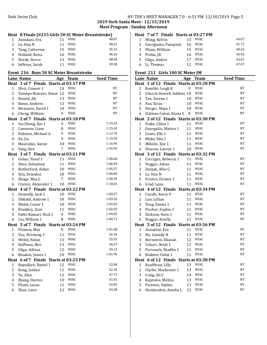## York Swim Club HY-TEK's MEET MANAGER 7.0 - 6:51 PM 12/10/2019 Page 5

**2019 York Santa Meet - 12/15/2019 Meet Program - Sunday Afternoon**

#### **Heat 8 Finals (#215 Girls 50 SC Meter Breaststroke)**<br>1 Assudani Eva 11 NYAC 48.87 1 Assudani, Eva 11 NYAC 48.87<br>2 Le, Han N 11 NYAC 48.21 2 Le, Han  $N$ Tang, Catherine 15 NYAC 45.12

| 4 Holland, Keira  | 16 NYAC | 46.26 |
|-------------------|---------|-------|
| 5 Horak, Sierra   | 13 NYAC | 48.50 |
| 6 Jeffreys, Sarah | 11 NYAC | 49.58 |

#### **Event 216 Boys 50 SC Meter Breaststroke**

|                         | <b>Lane Name</b>                      | <u>Age</u>     | <b>Team</b> | <b>Seed Time</b> |
|-------------------------|---------------------------------------|----------------|-------------|------------------|
|                         | Heat 1 of 7 Finals Starts at 03:17 PM |                |             |                  |
| 1                       | Weir, Connor 1                        | 10             | <b>NYAC</b> | NT               |
| $\overline{2}$          | Tamayo-Romero, Simoı 12               |                | <b>NYAC</b> | NT               |
| 3                       | Hamid, Ali                            | 13             | <b>NYAC</b> | NT               |
| 4                       | Kwon, Andrew                          | 13             | NYAC        | NT               |
| 5                       | Meszaros, David 1                     | 10             | <b>NYAC</b> | NT               |
| 6                       | Cheng, William                        | 9              | <b>NYAC</b> | NT               |
|                         | Heat 2 of 7 Finals Starts at 03:18 PM |                |             |                  |
| 1                       | Siu Chong, Kai 1                      | 9              | <b>NYAC</b> | 1:19.25          |
| 2                       | Cameron, Liam                         | 8              | <b>NYAC</b> | 1:15.65          |
| 3                       | Rubezin, Michael A                    | 9              | <b>NYAC</b> | 1:12.70          |
| 4                       | Xu, Jiu                               | 9              | <b>NYAC</b> | 1:15.03          |
| 5                       | Mauradas, Aaran                       | 10             | <b>NYAC</b> | 1:16.96          |
| 6                       | Yang, Ken                             | 7              | <b>NYAC</b> | 1:42.96          |
|                         | Heat 3 of 7 Finals Starts at 03:21 PM |                |             |                  |
| 1                       | Gohar, Yusuf 1                        | 11             | <b>NYAC</b> | 1:08.68          |
| 2                       | Shen, Sebastian                       | 11             | <b>NYAC</b> | 1:06.84          |
| 3                       | Rutherford, Aidan                     | 10             | <b>NYAC</b> | 1:05.57          |
| $\overline{4}$          | Situ, Brandon                         | 10             | <b>NYAC</b> | 1:06.06          |
| 5                       | Zhuge, Max L                          | $\overline{7}$ | <b>NYAC</b> | 1:06.95          |
| 6                       | Crainic, Alexander 1                  | 10             | <b>NYAC</b> | 1:10.03          |
|                         | Heat 4 of 7 Finals Starts at 03:22 PM |                |             |                  |
| 1                       | Donnelly, Jack 1                      | 10             | <b>NYAC</b> | 1:04.57          |
| $\overline{\mathbf{c}}$ | Sibbald, Andrew 1                     | 10             | <b>NYAC</b> | 1:03.26          |
| 3                       | Walsh, Conor 1                        | 10             | <b>NYAC</b> | 1:02.02          |
| 4                       | Elsokkry, Zain                        | 11             | <b>NYAC</b> | 1:02.69          |
| 5                       | Fathi-Kamari, Nick 1                  | 9              | <b>NYAC</b> | 1:04.03          |
| 6                       | Liu, William 1                        | 8              | <b>NYAC</b> | 1:04.71          |
|                         | Heat 5 of 7 Finals Starts at 03:24 PM |                |             |                  |
| 1                       | Pliamm, Max                           | 9              | <b>NYAC</b> | 1:01.68          |
| $\overline{c}$          | Yue, Peicheng 1                       | 11             | <b>NYAC</b> | 56.35            |
| 3                       | Welsh, Nolan                          | 13             | <b>NYAC</b> | 55.93            |
| $\overline{4}$          | Hoffman, Ben                          | 13             | <b>NYAC</b> | 56.27            |
| 5                       | Gliga, Adrian                         | 12             | <b>NYAC</b> | 59.12            |
| 6                       | Rizakos, James 1                      | 10             | <b>NYAC</b> | 1:01.96          |
|                         | Heat 6 of 7 Finals Starts at 03:25 PM |                |             |                  |
| 1                       | Boyadjiev, Daniel 1                   | 12             | <b>NYAC</b> | 52.90            |
| $\overline{\mathbf{c}}$ | Kong, Jordan                          | 11             | <b>NYAC</b> | 52.32            |
| 3                       | Yu, Alan                              | 12             | <b>NYAC</b> | 47.73            |
| 4                       | Zhang, Darren                         | 10             | NYAC        | 51.01            |
| 5                       | Pham, Lucas                           | 11             | <b>NYAC</b> | 52.85            |
| 6                       | Zhao, Leon                            | 12             | <b>NYAC</b> | 54.38            |

| Heat 7 of 7 Finals Starts at 03:27 PM |    |             |       |
|---------------------------------------|----|-------------|-------|
| 1 Wong, Kelvin                        | 15 | NYAC        | 44.07 |
| 2 Georgiadis, Panayioti               | 16 | NYAC.       | 41.75 |
| 3 Pham, William                       | 15 | <b>NYAC</b> | 40.43 |
| 4 Prabu, JK                           | 16 | <b>NYAC</b> | 40.96 |
| 5 Gliga, Andrei                       | 17 | <b>NYAC</b> | 43.01 |
| 6 Li, Thomas                          |    | NYAC.       | 47.07 |

#### Event 211 Girls 100 SC Meter IM

|                | Lane Name                              | Age | <b>Team</b> | <b>Seed Time</b> |
|----------------|----------------------------------------|-----|-------------|------------------|
|                | Heat 1 of 12 Finals Starts at 03:28 PM |     |             |                  |
| $\mathbf 1$    | Rumble, Leigh K                        | 9   | <b>NYAC</b> | NT               |
| $\overline{2}$ | Church-Howell, Addiso: 10              |     | <b>NYAC</b> | NT               |
| 3              | Tan, Serena 1                          | 10  | <b>NYAC</b> | NT               |
| 4              | Fan, Xiran                             | 10  | <b>NYAC</b> | NT               |
| 5              | Berger, Maya 1                         | 10  | <b>NYAC</b> | NT               |
| 6              | Dalmao-Caton, Kiana S                  | 8   | <b>NYAC</b> | NT               |
|                | Heat 2 of 12 Finals Starts at 03:30 PM |     |             |                  |
| 1              | Frake, Chloe 1                         | 11  | <b>NYAC</b> | NT               |
| $\overline{c}$ | Georgakis, Mattea 1                    | 11  | <b>NYAC</b> | NT               |
| 3              | Grant, Elle 1                          | 11  | <b>NYAC</b> | NT               |
| 4              | Blake, Etta I                          | 11  | <b>NYAC</b> | NT               |
| 5              | Mihelic, Zoe 1                         | 11  | <b>NYAC</b> | NT               |
| 6              | Deacon, Lauren 1                       | 10  | <b>NYAC</b> | NT               |
|                | Heat 3 of 12 Finals Starts at 03:32 PM |     |             |                  |
| 1              | Corrigan, Rebecca 1                    | 11  | <b>NYAC</b> | NT               |
| $\overline{c}$ | Naggar, Adina                          | 11  | <b>NYAC</b> | NT               |
| 3              | Zmijak, Allie G                        | 11  | <b>NYAC</b> | NT               |
| 4              | Le, Han N                              | 11  | <b>NYAC</b> | NT               |
| 5              | Firsten, Firsten 1                     | 11  | <b>NYAC</b> | NT               |
| 6              | Grad, Lana                             | 11  | <b>NYAC</b> | NT               |
|                | Heat 4 of 12 Finals Starts at 03:34 PM |     |             |                  |
| 1              | Curalli, Avery P                       | 11  | <b>NYAC</b> | NT               |
| $\overline{c}$ | Luo, Lillian                           | 11  | <b>NYAC</b> | NT               |
| 3              | Teng, Emma 1                           | 11  | <b>NYAC</b> | NT               |
| 4              | Fischer, Sophie 1                      | 11  | <b>NYAC</b> | NT               |
| 5              | Dickson, Nora 1                        | 11  | <b>NYAC</b> | NT               |
| 6              | Naggar, Ariella                        | 11  | <b>NYAC</b> | NT               |
|                | Heat 5 of 12 Finals Starts at 03:36 PM |     |             |                  |
| 1              | Assudani, Eva                          | 11  | <b>NYAC</b> | NT               |
| $\overline{c}$ | Ho, Cassidy H                          | 11  | <b>NYAC</b> | NT               |
| 3              | Bernstein, Elianah                     | 12  | <b>NYAC</b> | NT               |
| $\overline{4}$ | Schurr, Heidi 1                        | 12  | <b>NYAC</b> | NT               |
| 5              | Parvaneh, Shadlin 1                    | 11  | <b>NYAC</b> | NT               |
| 6              | Bodden, Chloe 1                        | 11  | <b>NYAC</b> | NT               |
|                | Heat 6 of 12 Finals Starts at 03:38 PM |     |             |                  |
| 1              | Kauffman, Lilly                        | 13  | <b>NYAC</b> | NT               |
| $\overline{c}$ | Clarke, Mackenzie 1                    | 13  | <b>NYAC</b> | NT               |
| 3              | Craig, Ali C                           | 14  | <b>NYAC</b> | NT               |
| 4              | Kapralos, Melina                       | 13  | <b>NYAC</b> | NT               |
| 5              | Faraone, Sophia                        | 13  | <b>NYAC</b> | NT               |
| 6              | Hendershot, Amalia L                   | 12  | <b>NYAC</b> | NT               |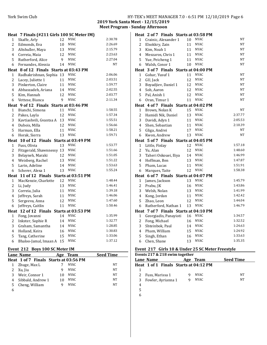| York Swim Club | HY-TEK's MEET MANAGER 7.0 - 6:51 PM 12/10/2019 Page 6 |  |  |
|----------------|-------------------------------------------------------|--|--|
|----------------|-------------------------------------------------------|--|--|

**2019 York Santa Meet - 12/15/2019 Meet Program - Sunday Afternoon** 

|                | Heat 7 Finals (#211 Girls 100 SC Meter IM) |          |                            |                    |
|----------------|--------------------------------------------|----------|----------------------------|--------------------|
| 1              | Skaffe, Arly                               | 12       | <b>NYAC</b>                | 2:30.78            |
| 2              | Edmonds, Eva                               | 10       | <b>NYAC</b>                | 2:26.69            |
| 3              | Altshuller, Maya                           | 13       | <b>NYAC</b>                | 2:15.79            |
| $\overline{4}$ | Correia, Maia                              | 12       | <b>NYAC</b>                | 2:23.63            |
| 5              | Rutherford, Alice                          | 9        | <b>NYAC</b>                | 2:27.04            |
| 6              | Fernandes, Alessia                         | 14       | <b>NYAC</b>                | <b>NT</b>          |
|                | Heat 8 of 12 Finals Starts at 03:43 PM     |          |                            |                    |
| $\mathbf{1}$   | Radhakrishnan, Sophia                      | 13       | <b>NYAC</b>                | 2:06.06            |
| $\overline{c}$ | Lacey, Juliette 1                          | 11       | <b>NYAC</b>                | 2:03.51            |
| 3              | Pinkerton, Claire                          | 11       | <b>NYAC</b>                | 1:59.77            |
| $\overline{4}$ | Abbaszadeh, Ariana                         | 14       | <b>NYAC</b>                | 2:02.55            |
| 5              | Kim, Hannah                                | 12       | <b>NYAC</b>                | 2:03.77            |
| 6              | Vettese, Bianca                            | 9        | <b>NYAC</b>                | 2:11.34            |
|                | Heat 9 of 12 Finals Starts at 03:46 PM     |          |                            |                    |
| 1              | Bianchi, Simona                            | 11       | <b>NYAC</b>                | 1:58.55            |
| 2              | Pakes, Layla                               | 12       | <b>NYAC</b>                | 1:57.34            |
| 3              | Kavtiashvili, Gvantsa A                    | 13       | <b>NYAC</b>                | 1:55.51            |
| 4              | Dubois, Milla                              | 12       | <b>NYAC</b>                | 1:56.66            |
| 5              | Harman, Ella                               | 11       | <b>NYAC</b>                | 1:58.21            |
| 6              | Horak, Sierra                              | 13       | <b>NYAC</b>                | 1:59.71            |
|                |                                            |          |                            |                    |
|                | Heat 10 of 12 Finals Starts at 03:49 PM    |          |                            |                    |
| 1              | Fuss, Olivia                               | 13       | <b>NYAC</b>                | 1:53.77            |
| $\overline{c}$ | Fitzgerald, Shawnnessy 13                  |          | <b>NYAC</b>                | 1:51.66            |
| 3              | Belayneh, Maraki                           | 12       | <b>NYAC</b>                | 1:51.05            |
| 4              | Weisberg, Rachel                           | 13       | <b>NYAC</b>                | 1:51.22            |
| 5              | Larin, Adeline                             | 14       | <b>NYAC</b>                | 1:53.63            |
| 6              | Scherer, Alexa 1                           | 13       | <b>NYAC</b>                | 1:55.24            |
|                | Heat 11 of 12 Finals Starts at 03:51 PM    |          |                            |                    |
| $\mathbf{1}$   | MacKenzie, Charlotte                       | 12       | <b>NYAC</b>                | 1:48.44            |
| $\overline{c}$ | Li, Judy                                   | 13       | <b>NYAC</b>                | 1:46.41            |
| 3              | Correia, Julia                             | 11       | <b>NYAC</b>                | 1:39.18            |
| 4              | Jeffreys, Sarah                            | 11       | <b>NYAC</b>                | 1:46.06            |
| 5              | Sergeeva, Anna                             | 12       | <b>NYAC</b>                | 1:47.60            |
| 6              | Jeffreys, Caitlin                          | 11       | <b>NYAC</b>                | 1:50.46            |
|                | Heat 12 of 12 Finals                       |          | Starts at 03:53 PM         |                    |
| 1              | Fong, Jovanni                              | 14       | <b>NYAC</b>                | 1:35.99            |
| 2              | Inkster, Sophie R                          | 14       | <b>NYAC</b>                | 1:32.77            |
| 3              | Graham, Samantha                           | 14       | <b>NYAC</b>                | 1:28.85            |
| 4              | Holland, Keira                             | 16       | <b>NYAC</b>                | 1:30.83            |
| 5<br>6         | Tang, Catherine<br>Bhaloo-Jamal, Imaan A   | 15<br>15 | <b>NYAC</b><br><b>NYAC</b> | 1:33.06<br>1:37.12 |

#### Event 212 Boys 100 SC Meter IM

| EVEIIL ZIZ DOVS TOU SC MELEI IM |                                       |     |             |                  |  |
|---------------------------------|---------------------------------------|-----|-------------|------------------|--|
|                                 | Lane Name                             | Age | Team        | <b>Seed Time</b> |  |
|                                 | Heat 1 of 7 Finals Starts at 03:56 PM |     |             |                  |  |
|                                 | Zhuge, Max L                          |     | NYAC        | <b>NT</b>        |  |
|                                 | Xu, Jiu                               | 9   | <b>NYAC</b> | NT               |  |
|                                 | Weir, Connor 1                        | 10  | <b>NYAC</b> | NT               |  |
| 4                               | Sibbald, Andrew 1                     | 10  | <b>NYAC</b> | NT               |  |
| 5                               | Cheng, William                        | q   | <b>NYAC</b> | NT               |  |
| 6                               |                                       |     |             |                  |  |
|                                 |                                       |     |             |                  |  |

|                                       | Heat 2 of 7 Finals Starts at 03:58 PM |          |                            |                    |  |
|---------------------------------------|---------------------------------------|----------|----------------------------|--------------------|--|
| 1                                     | Crainic, Alexander 1                  | 10       | <b>NYAC</b>                | <b>NT</b>          |  |
| 2                                     | Elsokkry, Zain                        | 11       | <b>NYAC</b>                | NT                 |  |
| 3                                     | Kim, Noah 1                           | 11       | <b>NYAC</b>                | NT                 |  |
| 4                                     | Meszaros, Chris 1                     | 11       | <b>NYAC</b>                | <b>NT</b>          |  |
| 5                                     | Yue, Peicheng 1                       | 11       | <b>NYAC</b>                | NT                 |  |
| 6                                     | Walsh, Conor 1                        | 10       | <b>NYAC</b>                | NT                 |  |
|                                       | Heat 3 of 7 Finals Starts at 04:00 PM |          |                            |                    |  |
| 1                                     | Gohar, Yusuf 1                        | 11       | <b>NYAC</b>                | NT                 |  |
| $\overline{c}$                        | GU, Jack                              | 12       | <b>NYAC</b>                | NT                 |  |
| 3                                     | Boyadjiev, Daniel 1                   | 12       | <b>NYAC</b>                | NT                 |  |
| 4                                     | Soh, Aaron                            | 12       | <b>NYAC</b>                | <b>NT</b>          |  |
| 5                                     | Pal, Anish 1                          | 12       | <b>NYAC</b>                | NT                 |  |
| 6                                     | Oran, Timur 1                         | 11       | <b>NYAC</b>                | NT                 |  |
|                                       | Heat 4 of 7 Finals Starts at 04:02 PM |          |                            |                    |  |
| 1                                     | Brown, Nolan K                        | 15       | <b>NYAC</b>                | NT                 |  |
| $\overline{2}$                        | Hamidi Nik, Daniel                    | 13       | <b>NYAC</b>                | 2:37.77            |  |
| 3                                     | Davidi, Adyn 1                        | 11       | <b>NYAC</b>                | 2:05.53            |  |
| 4                                     | Shen, Sebastian                       | 11       | <b>NYAC</b>                | 2:10.39            |  |
| 5                                     | Gliga, Andrei                         | 17       | <b>NYAC</b>                | <b>NT</b>          |  |
| 6                                     | Kwon, Andrew                          | 13       | <b>NYAC</b>                | NT                 |  |
| Heat 5 of 7 Finals Starts at 04:05 PM |                                       |          |                            |                    |  |
|                                       |                                       |          |                            |                    |  |
| 1                                     | Little, Finlay                        | 12       | <b>NYAC</b>                | 1:57.18            |  |
| 2                                     | Yu, Alan                              | 12       | <b>NYAC</b>                | 1:48.60            |  |
| 3                                     | Taheri Oskouei, Iliya                 | 14       | <b>NYAC</b>                | 1:46.99            |  |
| 4                                     | Hoffman, Ben                          | 13       | <b>NYAC</b>                | 1:47.87            |  |
| 5                                     | Pham, Lucas                           | 11       | <b>NYAC</b>                | 1:51.91            |  |
| 6                                     | Marques, Taite                        | 12       | <b>NYAC</b>                | 1:58.38            |  |
|                                       | Heat 6 of 7 Finals                    |          | Starts at 04:07 PM         |                    |  |
| 1                                     | James, Jackson                        | 13       | <b>NYAC</b>                | 1:45.79            |  |
| $\overline{c}$                        | Prabu, JK                             | 16       | <b>NYAC</b>                | 1:43.86            |  |
| 3                                     | Welsh, Nolan                          | 13       | <b>NYAC</b>                | 1:41.99            |  |
| 4                                     | Kong, Jordan                          | 11       | <b>NYAC</b>                | 1:42.42            |  |
| 5                                     | Zhao, Leon                            | 12       | <b>NYAC</b>                | 1:44.04            |  |
| 6                                     | Rutherford, Nathan 1                  | 13       | <b>NYAC</b>                | 1:46.79            |  |
|                                       | Heat 7 of 7 Finals Starts at 04:10 PM |          |                            |                    |  |
| $\mathbf 1$                           | Georgiadis, Panayioti                 | 16       | <b>NYAC</b>                | 1:34.57            |  |
| $\overline{c}$                        | Fong, Michael                         | 16       | <b>NYAC</b>                | 1:32.52            |  |
| 3                                     | Shteinbok, Paul                       | 14       | <b>NYAC</b>                | 1:24.63            |  |
| 4                                     | Pham, William                         | 15       | <b>NYAC</b>                | 1:24.92            |  |
| 5<br>6                                | Singh, Ethan<br>Chen, Shane           | 16<br>13 | <b>NYAC</b><br><b>NYAC</b> | 1:33.63<br>1:35.35 |  |

#### Event 217 Girls 10 & Under 25 SC Meter Freestyle

| Events 217 & 218 swim together |                                       |     |       |                  |
|--------------------------------|---------------------------------------|-----|-------|------------------|
|                                | Lane Name                             | Age | Team  | <b>Seed Time</b> |
|                                | Heat 1 of 1 Finals Starts at 04:12 PM |     |       |                  |
|                                |                                       |     |       |                  |
|                                | Fuss, Marissa 1                       |     | NYAC  | NΤ               |
| 3                              | Fowler, Ayrianna 1                    |     | NYAC. | NΤ               |
|                                |                                       |     |       |                  |